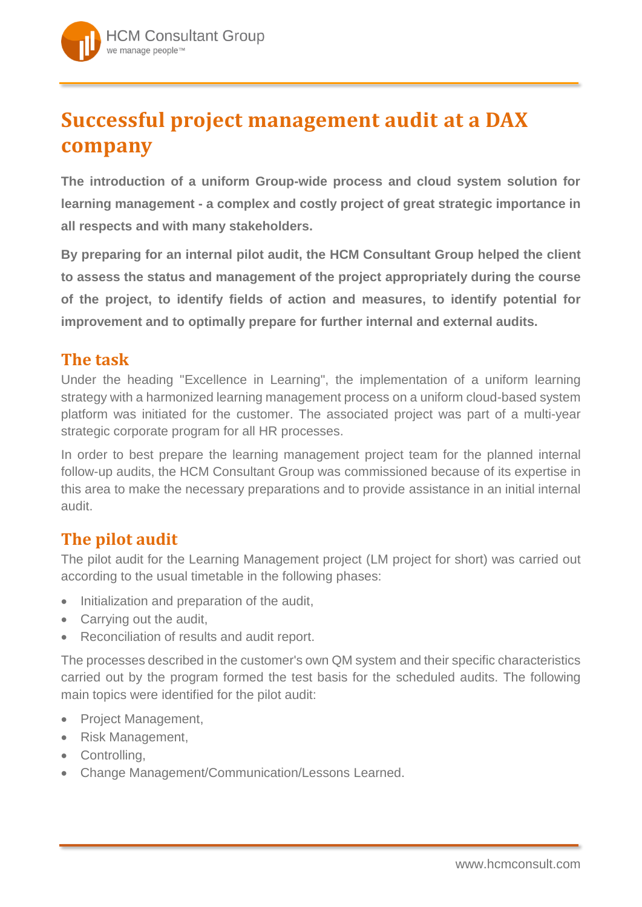# **Successful project management audit at a DAX company**

**The introduction of a uniform Group-wide process and cloud system solution for learning management - a complex and costly project of great strategic importance in all respects and with many stakeholders.** 

**By preparing for an internal pilot audit, the HCM Consultant Group helped the client to assess the status and management of the project appropriately during the course of the project, to identify fields of action and measures, to identify potential for improvement and to optimally prepare for further internal and external audits.**

## **The task**

Under the heading "Excellence in Learning", the implementation of a uniform learning strategy with a harmonized learning management process on a uniform cloud-based system platform was initiated for the customer. The associated project was part of a multi-year strategic corporate program for all HR processes.

In order to best prepare the learning management project team for the planned internal follow-up audits, the HCM Consultant Group was commissioned because of its expertise in this area to make the necessary preparations and to provide assistance in an initial internal audit.

# **The pilot audit**

The pilot audit for the Learning Management project (LM project for short) was carried out according to the usual timetable in the following phases:

- Initialization and preparation of the audit,
- Carrying out the audit,
- Reconciliation of results and audit report.

The processes described in the customer's own QM system and their specific characteristics carried out by the program formed the test basis for the scheduled audits. The following main topics were identified for the pilot audit:

- Project Management,
- Risk Management,
- Controlling,
- Change Management/Communication/Lessons Learned.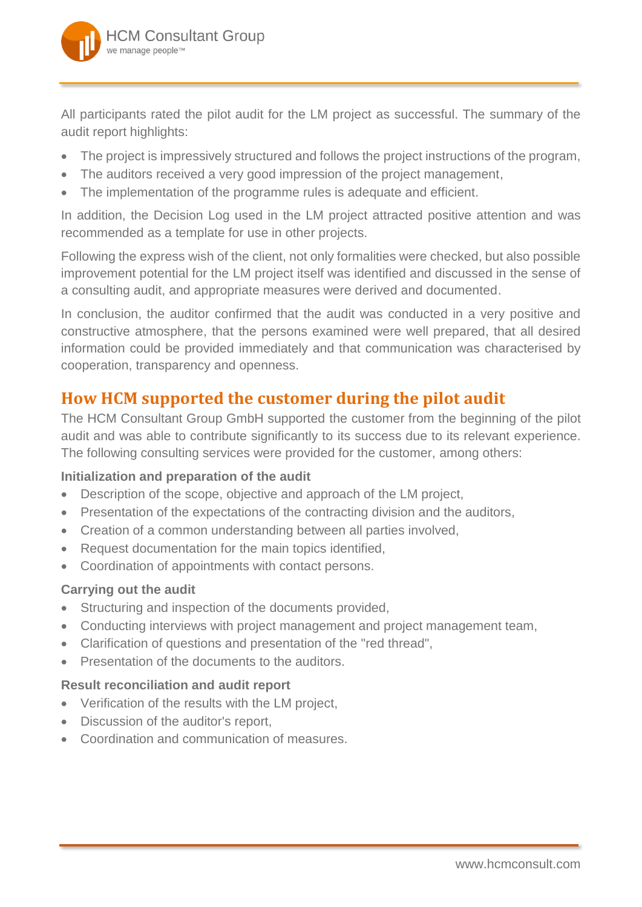

All participants rated the pilot audit for the LM project as successful. The summary of the audit report highlights:

- The project is impressively structured and follows the project instructions of the program,
- The auditors received a very good impression of the project management,
- The implementation of the programme rules is adequate and efficient.

In addition, the Decision Log used in the LM project attracted positive attention and was recommended as a template for use in other projects.

Following the express wish of the client, not only formalities were checked, but also possible improvement potential for the LM project itself was identified and discussed in the sense of a consulting audit, and appropriate measures were derived and documented.

In conclusion, the auditor confirmed that the audit was conducted in a very positive and constructive atmosphere, that the persons examined were well prepared, that all desired information could be provided immediately and that communication was characterised by cooperation, transparency and openness.

# **How HCM supported the customer during the pilot audit**

The HCM Consultant Group GmbH supported the customer from the beginning of the pilot audit and was able to contribute significantly to its success due to its relevant experience. The following consulting services were provided for the customer, among others:

#### **Initialization and preparation of the audit**

- Description of the scope, objective and approach of the LM project,
- Presentation of the expectations of the contracting division and the auditors,
- Creation of a common understanding between all parties involved,
- Request documentation for the main topics identified.
- Coordination of appointments with contact persons.

#### **Carrying out the audit**

- Structuring and inspection of the documents provided,
- Conducting interviews with project management and project management team,
- Clarification of questions and presentation of the "red thread",
- Presentation of the documents to the auditors.

#### **Result reconciliation and audit report**

- Verification of the results with the LM project,
- Discussion of the auditor's report,
- Coordination and communication of measures.